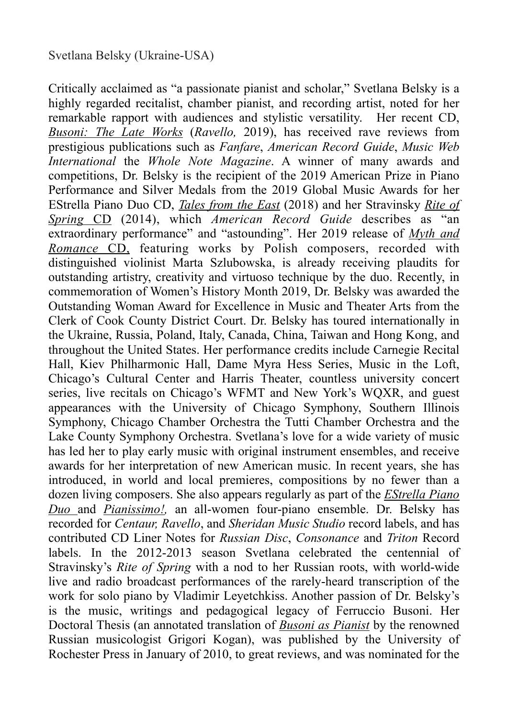Critically acclaimed as "a passionate pianist and scholar," Svetlana Belsky is a highly regarded recitalist, chamber pianist, and recording artist, noted for her remarkable rapport with audiences and stylistic versatility. Her recent CD, *[Busoni: The Late Works](https://www.svetlanabelsky.com/ferruccio-busoni-the-late-works)* (*Ravello,* 2019), has received rave reviews from prestigious publications such as *Fanfare*, *American Record Guide*, *Music Web International* the *Whole Note Magazine*. A winner of many awards and competitions, Dr. Belsky is the recipient of the 2019 American Prize in Piano Performance and Silver Medals from the 2019 Global Music Awards for her EStrella Piano Duo CD, *[Tales from the East](https://www.svetlanabelsky.com/tales-from-the-east-cd)* (2018) and her Stravinsky *[Rite of](https://www.svetlanabelsky.com/rite-of-spring)  [Spring](https://www.svetlanabelsky.com/rite-of-spring)* CD (2014), which *American Record Guide* describes as "an extraordinary performance" and "astounding". Her 2019 release of *[Myth](https://www.svetlanabelsky.com/myth-and-romance-cd) and Romance* CD, featuring works by Polish composers, recorded with distinguished violinist Marta Szlubowska, is already receiving plaudits for outstanding artistry, creativity and virtuoso technique by the duo. Recently, in commemoration of Women's History Month 2019, Dr. Belsky was awarded the Outstanding Woman Award for Excellence in Music and Theater Arts from the Clerk of Cook County District Court. Dr. Belsky has toured internationally in the Ukraine, Russia, Poland, Italy, Canada, China, Taiwan and Hong Kong, and throughout the United States. Her performance credits include Carnegie Recital Hall, Kiev Philharmonic Hall, Dame Myra Hess Series, Music in the Loft, Chicago's Cultural Center and Harris Theater, countless university concert series, live recitals on Chicago's WFMT and New York's WQXR, and guest appearances with the University of Chicago Symphony, Southern Illinois Symphony, Chicago Chamber Orchestra the Tutti Chamber Orchestra and the Lake County Symphony Orchestra. Svetlana's love for a wide variety of music has led her to play early music with original instrument ensembles, and receive awards for her interpretation of new American music. In recent years, she has introduced, in world and local premieres, compositions by no fewer than a dozen living composers. She also appears regularly as part of the *[EStrella Piano](https://www.svetlanabelsky.com/estrella-duo)  [Duo](https://www.svetlanabelsky.com/estrella-duo)* and *[Pianissimo!,](http://www.pianissimoensemble.com/)* an all-women four-piano ensemble. Dr. Belsky has recorded for *Centaur, Ravello*, and *Sheridan Music Studio* record labels, and has contributed CD Liner Notes for *Russian Disc*, *Consonance* and *Triton* Record labels. In the 2012-2013 season Svetlana celebrated the centennial of Stravinsky's *Rite of Spring* with a nod to her Russian roots, with world-wide live and radio broadcast performances of the rarely-heard transcription of the work for solo piano by Vladimir Leyetchkiss. Another passion of Dr. Belsky's is the music, writings and pedagogical legacy of Ferruccio Busoni. Her Doctoral Thesis (an annotated translation of *[Busoni as Pianist](https://www.svetlanabelsky.com/busoni-as-pianist)* by the renowned Russian musicologist Grigori Kogan), was published by the University of Rochester Press in January of 2010, to great reviews, and was nominated for the